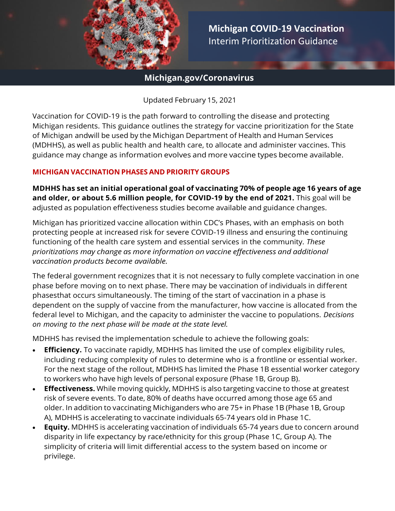

**Michigan COVID-19 Vaccination**  Interim Prioritization Guidance

## **Michigan.gov/Coronavirus**

Updated February 15, 2021

Vaccination for COVID-19 is the path forward to controlling the disease and protecting Michigan residents. This guidance outlines the strategy for vaccine prioritization for the State of Michigan andwill be used by the Michigan Department of Health and Human Services (MDHHS), as well as public health and health care, to allocate and administer vaccines. This guidance may change as information evolves and more vaccine types become available.

#### **MICHIGAN VACCINATION PHASES AND PRIORITY GROUPS**

**MDHHS has set an initial operational goal of vaccinating 70% of people age 16 years of age and older, or about 5.6 million people, for COVID-19 by the end of 2021.** This goal will be adjusted as population effectiveness studies become available and guidance changes.

Michigan has prioritized vaccine allocation within CDC's Phases, with an emphasis on both protecting people at increased risk for severe COVID-19 illness and ensuring the continuing functioning of the health care system and essential services in the community. *These prioritizations may change as more information on vaccine effectiveness and additional vaccination products become available.*

The federal government recognizes that it is not necessary to fully complete vaccination in one phase before moving on to next phase. There may be vaccination of individuals in different phasesthat occurs simultaneously. The timing of the start of vaccination in a phase is dependent on the supply of vaccine from the manufacturer, how vaccine is allocated from the federal level to Michigan, and the capacity to administer the vaccine to populations. *Decisions on moving to the next phase will be made at the state level.*

MDHHS has revised the implementation schedule to achieve the following goals:

- **Efficiency.** To vaccinate rapidly, MDHHS has limited the use of complex eligibility rules, including reducing complexity of rules to determine who is a frontline or essential worker. For the next stage of the rollout, MDHHS has limited the Phase 1B essential worker category to workers who have high levels of personal exposure (Phase 1B, Group B).
- **Effectiveness.** While moving quickly, MDHHS is also targeting vaccine to those at greatest risk of severe events. To date, 80% of deaths have occurred among those age 65 and older. In addition to vaccinating Michiganders who are 75+ in Phase 1B (Phase 1B, Group A), MDHHS is accelerating to vaccinate individuals 65-74 years old in Phase 1C.
- **Equity.** MDHHS is accelerating vaccination of individuals 65-74 years due to concern around disparity in life expectancy by race/ethnicity for this group (Phase 1C, Group A). The simplicity of criteria will limit differential access to the system based on income or privilege.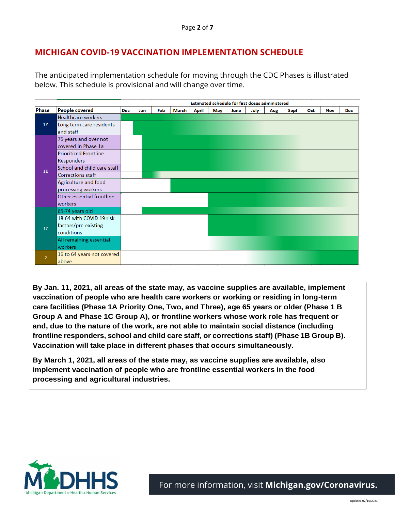# **MICHIGAN COVID-19 VACCINATION IMPLEMENTATION SCHEDULE**

The anticipated implementation schedule for moving through the CDC Phases is illustrated below. This schedule is provisional and will change over time.

|                |                              | Estimated schedule for first doses administered |     |     |       |              |     |      |      |     |      |     |            |            |
|----------------|------------------------------|-------------------------------------------------|-----|-----|-------|--------------|-----|------|------|-----|------|-----|------------|------------|
| <b>Phase</b>   | <b>People covered</b>        | <b>Dec</b>                                      | Jan | Feb | March | <b>April</b> | May | June | July | Aug | Sept | Oct | <b>Nov</b> | <b>Dec</b> |
| 1A             | <b>Healthcare workers</b>    |                                                 |     |     |       |              |     |      |      |     |      |     |            |            |
|                | Long term care residents     |                                                 |     |     |       |              |     |      |      |     |      |     |            |            |
|                | and staff                    |                                                 |     |     |       |              |     |      |      |     |      |     |            |            |
| 1B             | 75 years and over not        |                                                 |     |     |       |              |     |      |      |     |      |     |            |            |
|                | covered in Phase 1a          |                                                 |     |     |       |              |     |      |      |     |      |     |            |            |
|                | <b>Prioritized Frontline</b> |                                                 |     |     |       |              |     |      |      |     |      |     |            |            |
|                | <b>Responders</b>            |                                                 |     |     |       |              |     |      |      |     |      |     |            |            |
|                | School and child care staff  |                                                 |     |     |       |              |     |      |      |     |      |     |            |            |
|                | <b>Corrections staff</b>     |                                                 |     |     |       |              |     |      |      |     |      |     |            |            |
|                | Agriculture and food         |                                                 |     |     |       |              |     |      |      |     |      |     |            |            |
|                | processing workers           |                                                 |     |     |       |              |     |      |      |     |      |     |            |            |
|                | Other essential frontline    |                                                 |     |     |       |              |     |      |      |     |      |     |            |            |
|                | workers                      |                                                 |     |     |       |              |     |      |      |     |      |     |            |            |
| 1 <sup>C</sup> | 65-74 years old              |                                                 |     |     |       |              |     |      |      |     |      |     |            |            |
|                | 18-64 with COVID-19 risk     |                                                 |     |     |       |              |     |      |      |     |      |     |            |            |
|                | factors/pre-existing         |                                                 |     |     |       |              |     |      |      |     |      |     |            |            |
|                | conditions                   |                                                 |     |     |       |              |     |      |      |     |      |     |            |            |
|                | All remaining essential      |                                                 |     |     |       |              |     |      |      |     |      |     |            |            |
|                | workers                      |                                                 |     |     |       |              |     |      |      |     |      |     |            |            |
| $\overline{2}$ | 16 to 64 years not covered   |                                                 |     |     |       |              |     |      |      |     |      |     |            |            |
|                | above                        |                                                 |     |     |       |              |     |      |      |     |      |     |            |            |

**intense exposure, Vaccination will take place in different phases that occurs simultaneously. By Jan. 11, 2021, all areas of the state may, as vaccine supplies are available, implement vaccination of people who are health care workers or working or residing in long-term care facilities (Phase 1A Priority One, Two, and Three), age 65 years or older (Phase 1 B Group A and Phase 1C Group A), or frontline workers whose work role has frequent or and, due to the nature of the work, are not able to maintain social distance (including frontline responders, school and child care staff, or corrections staff) (Phase 1B Group B).**

**By March 1, 2021, all areas of the state may, as vaccine supplies are available, also implement vaccination of people who are frontline essential workers in the food processing and agricultural industries.** 

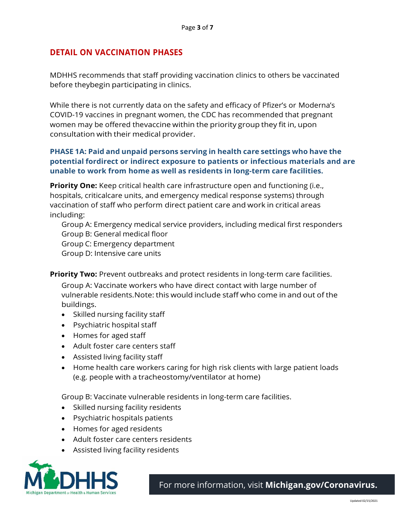# **DETAIL ON VACCINATION PHASES**

MDHHS recommends that staff providing vaccination clinics to others be vaccinated before theybegin participating in clinics.

While there is not currently data on the safety and efficacy of Pfizer's or Moderna's COVID-19 vaccines in pregnant women, the CDC has recommended that pregnant women may be offered thevaccine within the priority group they fit in, upon consultation with their medical provider.

### **PHASE 1A: Paid and unpaid persons serving in health care settings who have the potential fordirect or indirect exposure to patients or infectious materials and are unable to work from home as well as residents in long-term care facilities.**

**Priority One:** Keep critical health care infrastructure open and functioning (i.e., hospitals, criticalcare units, and emergency medical response systems) through vaccination of staff who perform direct patient care and work in critical areas including:

Group A: Emergency medical service providers, including medical first responders Group B: General medical floor Group C: Emergency department Group D: Intensive care units

**Priority Two:** Prevent outbreaks and protect residents in long-term care facilities.

Group A: Vaccinate workers who have direct contact with large number of vulnerable residents.Note: this would include staff who come in and out of the buildings.

- Skilled nursing facility staff
- Psychiatric hospital staff
- Homes for aged staff
- Adult foster care centers staff
- Assisted living facility staff
- Home health care workers caring for high risk clients with large patient loads (e.g. people with a tracheostomy/ventilator at home)

Group B: Vaccinate vulnerable residents in long-term care facilities.

- Skilled nursing facility residents
- Psychiatric hospitals patients
- Homes for aged residents
- Adult foster care centers residents
- Assisted living facility residents

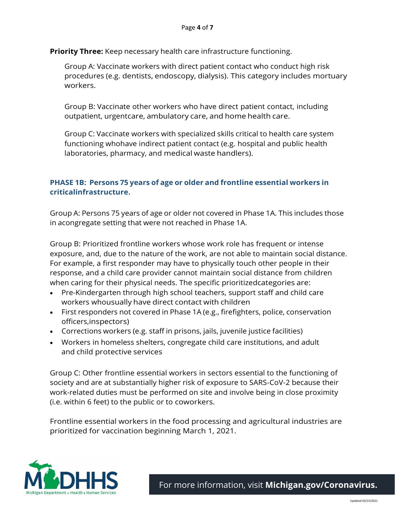**Priority Three:** Keep necessary health care infrastructure functioning.

Group A: Vaccinate workers with direct patient contact who conduct high risk procedures (e.g. dentists, endoscopy, dialysis). This category includes mortuary workers.

Group B: Vaccinate other workers who have direct patient contact, including outpatient, urgentcare, ambulatory care, and home health care.

Group C: Vaccinate workers with specialized skills critical to health care system functioning whohave indirect patient contact (e.g. hospital and public health laboratories, pharmacy, and medical waste handlers).

## **PHASE 1B: Persons 75 years of age or older and frontline essential workers in criticalinfrastructure.**

Group A: Persons 75 years of age or older not covered in Phase 1A. This includes those in acongregate setting that were not reached in Phase 1A.

Group B: Prioritized frontline workers whose work role has frequent or intense exposure, and, due to the nature of the work, are not able to maintain social distance. For example, a first responder may have to physically touch other people in their response, and a child care provider cannot maintain social distance from children when caring for their physical needs. The specific prioritizedcategories are:

- Pre-Kindergarten through high school teachers, support staff and child care workers whousually have direct contact with children
- First responders not covered in Phase 1A (e.g., firefighters, police, conservation officers,inspectors)
- Corrections workers (e.g. staff in prisons, jails, juvenile justice facilities)
- Workers in homeless shelters, congregate child care institutions, and adult and child protective services

Group C: Other frontline essential workers in sectors essential to the functioning of society and are at substantially higher risk of exposure to SARS-CoV-2 because their work-related duties must be performed on site and involve being in close proximity (i.e. within 6 feet) to the public or to coworkers.

Frontline essential workers in the food processing and agricultural industries are prioritized for vaccination beginning March 1, 2021.

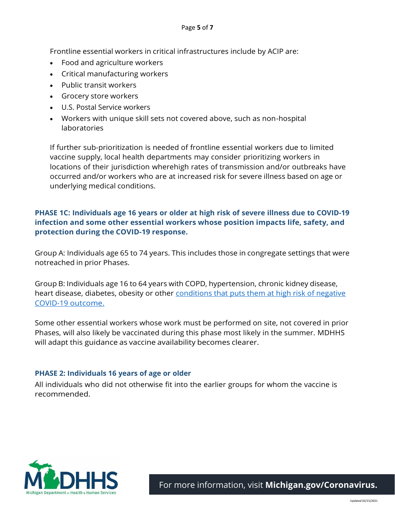Frontline essential workers in critical infrastructures include by ACIP are:

- Food and agriculture workers
- Critical manufacturing workers
- Public transit workers
- Grocery store workers
- U.S. Postal Service workers
- Workers with unique skill sets not covered above, such as non-hospital laboratories

If further sub-prioritization is needed of frontline essential workers due to limited vaccine supply, local health departments may consider prioritizing workers in locations of their jurisdiction wherehigh rates of transmission and/or outbreaks have occurred and/or workers who are at increased risk for severe illness based on age or underlying medical conditions.

## **PHASE 1C: Individuals age 16 years or older at high risk of severe illness due to COVID-19 infection and some other essential workers whose position impacts life, safety, and protection during the COVID-19 response.**

Group A: Individuals age 65 to 74 years. This includes those in congregate settings that were notreached in prior Phases.

Group B: Individuals age 16 to 64 years with COPD, hypertension, chronic kidney disease, heart disease, diabetes, obesity or other conditions that puts them at high risk of negative [COVID-19](https://www.cdc.gov/coronavirus/2019-ncov/need-extra-precautions/people-with-medical-conditions.html) [outcome.](https://www.cdc.gov/coronavirus/2019-ncov/need-extra-precautions/people-with-medical-conditions.html)

Some other essential workers whose work must be performed on site, not covered in prior Phases, will also likely be vaccinated during this phase most likely in the summer. MDHHS will adapt this guidance as vaccine availability becomes clearer.

#### **PHASE 2: Individuals 16 years of age or older**

All individuals who did not otherwise fit into the earlier groups for whom the vaccine is recommended.

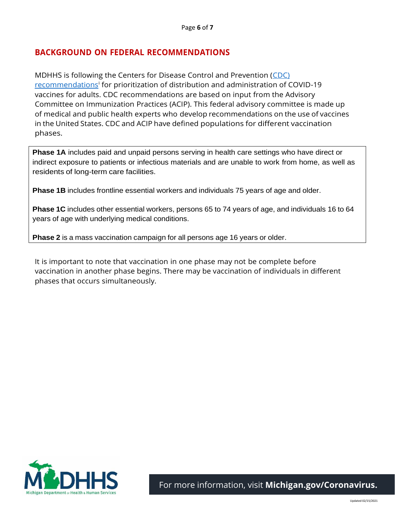# **BACKGROUND ON FEDERAL RECOMMENDATIONS**

MDHHS is following the Centers for Disease Control and Prevention [\(CDC\)](https://www.cdc.gov/mmwr/volumes/69/wr/mm695152e2.htm?s_cid=mm695152e2_w)  [recommendations](https://www.cdc.gov/mmwr/volumes/69/wr/mm695152e2.htm?s_cid=mm695152e2_w)<sup>i</sup> for prioritization of distribution and administration of COVID-19 vaccines for adults. CDC recommendations are based on input from the Advisory Committee on Immunization Practices (ACIP). This federal advisory committee is made up of medical and public health experts who develop recommendations on the use of vaccines in the United States. CDC and ACIP have defined populations for different vaccination phases.

**Phase 1A** includes paid and unpaid persons serving in health care settings who have direct or indirect exposure to patients or infectious materials and are unable to work from home, as well as residents of long-term care facilities.

**Phase 1B** includes frontline essential workers and individuals 75 years of age and older.

**Phase 1C** includes other essential workers, persons 65 to 74 years of age, and individuals 16 to 64 years of age with underlying medical conditions.

**Phase 2** is a mass vaccination campaign for all persons age 16 years or older.

It is important to note that vaccination in one phase may not be complete before vaccination in another phase begins. There may be vaccination of individuals in different phases that occurs simultaneously.

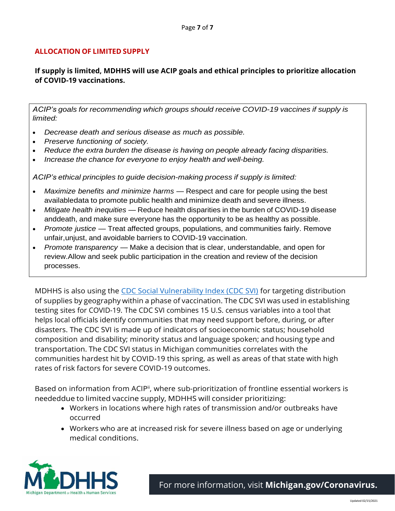### **ALLOCATION OF LIMITED SUPPLY**

### **If supply is limited, MDHHS will use ACIP goals and ethical principles to prioritize allocation of COVID-19 vaccinations.**

*ACIP's goals for recommending which groups should receive COVID-19 vaccines if supply is limited:*

- *Decrease death and serious disease as much as possible.*
- *Preserve functioning of society.*
- *Reduce the extra burden the disease is having on people already facing disparities.*
- *Increase the chance for everyone to enjoy health and well-being.*

*ACIP's ethical principles to guide decision-making process if supply is limited:*

- *Maximize benefits and minimize harms* Respect and care for people using the best availabledata to promote public health and minimize death and severe illness.
- *Mitigate health inequities* Reduce health disparities in the burden of COVID-19 disease anddeath, and make sure everyone has the opportunity to be as healthy as possible.
- *Promote justice* Treat affected groups, populations, and communities fairly. Remove unfair,unjust, and avoidable barriers to COVID-19 vaccination.
- *Promote transparency* Make a decision that is clear, understandable, and open for review.Allow and seek public participation in the creation and review of the decision processes.

MDHHS is also using the [CDC Social Vulnerability Index \(CDC SVI\)](https://www.cdc.gov/coronavirus/2019-ncov/need-extra-precautions/people-with-medical-conditions.html) for targeting distribution of supplies by geography within a phase of vaccination. The CDC SVI was used in establishing testing sites for COVID-19. The CDC SVI combines 15 U.S. census variables into a tool that helps local officials identify communities that may need support before, during, or after disasters. The CDC SVI is made up of indicators of socioeconomic status; household composition and disability; minority status and language spoken; and housing type and transportation. The CDC SVI status in Michigan communities correlates with the communities hardest hit by COVID-19 this spring, as well as areas of that state with high rates of risk factors for severe COVID-19 outcomes.

Based on information from ACIP<sup>ii</sup>, where sub-prioritization of frontline essential workers is neededdue to limited vaccine supply, MDHHS will consider prioritizing:

- Workers in locations where high rates of transmission and/or outbreaks have occurred
- Workers who are at increased risk for severe illness based on age or underlying medical conditions.